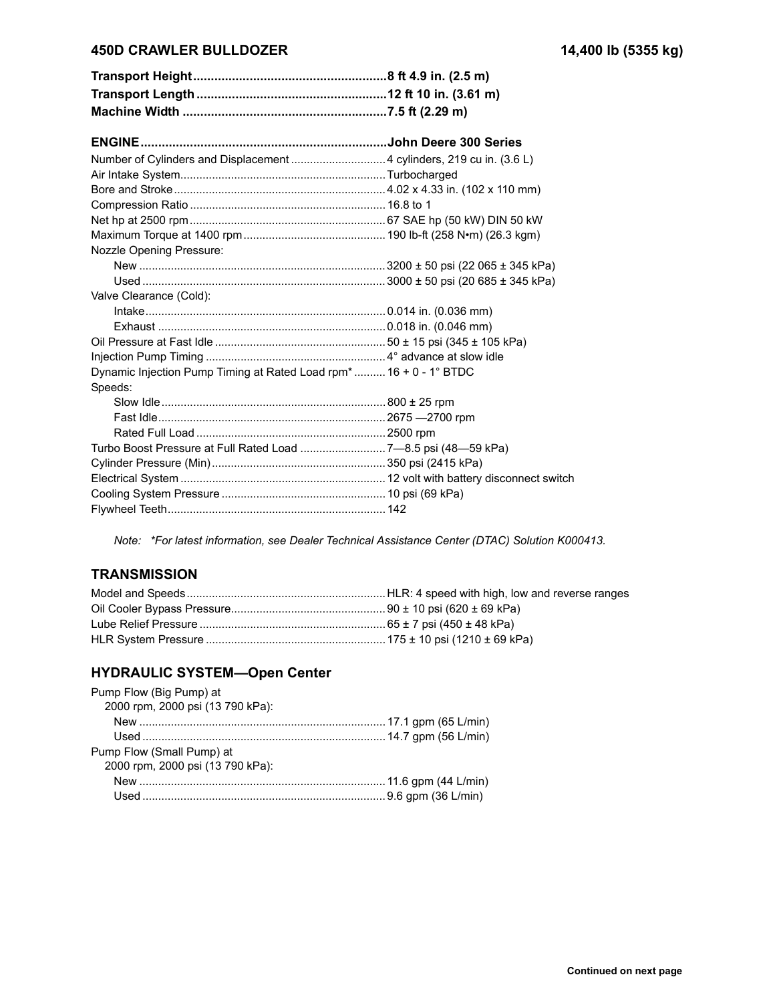### **450D CRAWLER BULLDOZER 14,400 lb (5355 kg)**

| Number of Cylinders and Displacement  4 cylinders, 219 cu in. (3.6 L) |  |
|-----------------------------------------------------------------------|--|
|                                                                       |  |
|                                                                       |  |
|                                                                       |  |
|                                                                       |  |
|                                                                       |  |
| Nozzle Opening Pressure:                                              |  |
|                                                                       |  |
|                                                                       |  |
| Valve Clearance (Cold):                                               |  |
|                                                                       |  |
|                                                                       |  |
|                                                                       |  |
|                                                                       |  |
| Dynamic Injection Pump Timing at Rated Load rpm* 16 + 0 - 1° BTDC     |  |
| Speeds:                                                               |  |
|                                                                       |  |
|                                                                       |  |
|                                                                       |  |
| Turbo Boost Pressure at Full Rated Load 7-8.5 psi (48-59 kPa)         |  |
|                                                                       |  |
|                                                                       |  |
|                                                                       |  |
|                                                                       |  |

*Note: \*For latest information, see Dealer Technical Assistance Center (DTAC) Solution K000413.*

# **TRANSMISSION**

## **HYDRAULIC SYSTEM-Open Center**